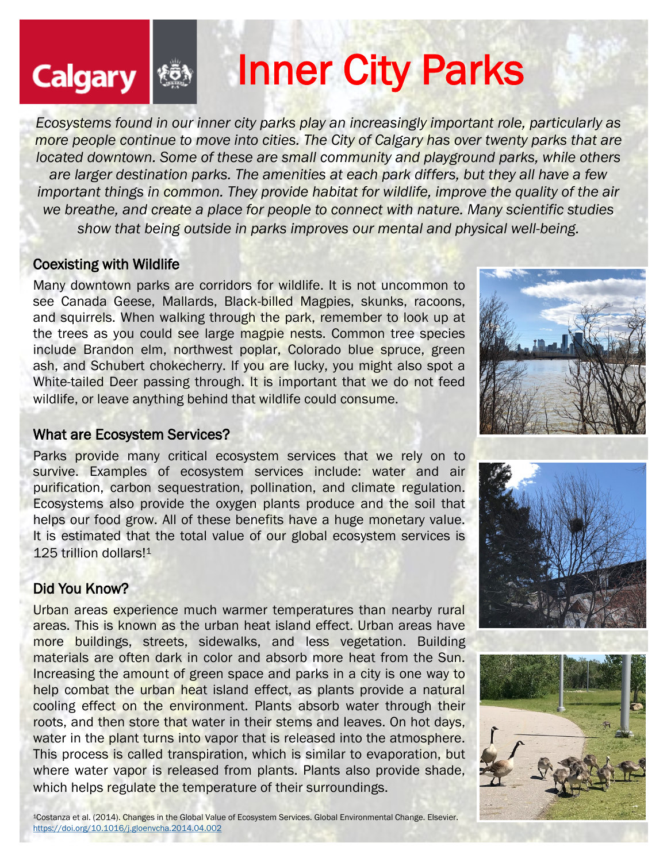# Calgary **& Inner City Parks**

*Ecosystems found in our inner city parks play an increasingly important role, particularly as more people continue to move into cities. The City of Calgary has over [twenty parks](https://www.calgary.ca/csps/parks/locations/all-city-parks.html) that are located downtown. Some of these are small community and playground parks, while others are larger destination parks. The amenities at each park differs, but they all have a few important things in common. They provide habitat for wildlife, improve the quality of the air we breathe, and create a place for people to connect with nature. Many scientific studies show that being outside in parks improves our mental and physical well-being.*

#### Coexisting with Wildlife

Many downtown parks are corridors for wildlife. It is not uncommon to see Canada Geese, Mallards, Black-billed Magpies, skunks, racoons, and squirrels. When walking through the park, remember to look up at the trees as you could see large magpie nests. Common tree species include Brandon elm, northwest poplar, Colorado blue spruce, green ash, and Schubert chokecherry. If you are lucky, you might also spot a White-tailed Deer passing through. It is important that we do not feed wildlife, or leave anything behind that wildlife could consume.

#### What are Ecosystem Services?

Parks provide many critical ecosystem services that we rely on to survive. Examples of ecosystem services include: water and air purification, carbon sequestration, pollination, and climate regulation. Ecosystems also provide the oxygen plants produce and the soil that helps our food grow. All of these benefits have a huge monetary value. It is estimated that the total value of our global ecosystem services is 125 trillion dollars!<sup>1</sup>

#### Did You Know?

Urban areas experience much warmer temperatures than nearby rural areas. This is known as the urban heat island effect. Urban areas have more buildings, streets, sidewalks, and less vegetation. Building materials are often dark in color and absorb more heat from the Sun. Increasing the amount of green space and parks in a city is one way to help combat the urban heat island effect, as plants provide a natural cooling effect on the environment. Plants absorb water through their roots, and then store that water in their stems and leaves. On hot days, water in the plant turns into vapor that is released into the atmosphere. This process is called transpiration, which is similar to evaporation, but where water vapor is released from plants. Plants also provide shade, which helps regulate the temperature of their surroundings.





<sup>1</sup>Costanza et al. (2014). Changes in the Global Value of Ecosystem Services. Global Environmental Change. Elsevier. <https://doi.org/10.1016/j.gloenvcha.2014.04.002>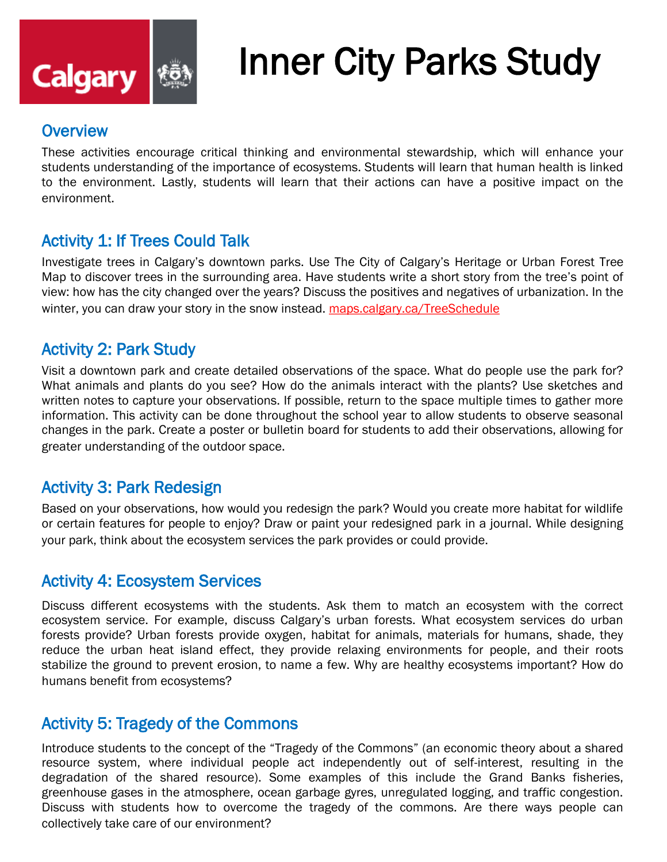

## Inner City Parks Study

#### **Overview**

These activities encourage critical thinking and environmental stewardship, which will enhance your students understanding of the importance of ecosystems. Students will learn that human health is linked to the environment. Lastly, students will learn that their actions can have a positive impact on the environment.

#### Activity 1: If Trees Could Talk

Investigate trees in Calgary's downtown parks. Use The City of Calgary's [Heritage or Urban Forest Tree](https://data.calgary.ca/Environment/Public-Trees/tfs4-3wwa)  [Map](https://data.calgary.ca/Environment/Public-Trees/tfs4-3wwa) to discover trees in the surrounding area. Have students write a short story from the tree's point of view: how has the city changed over the years? Discuss the positives and negatives of urbanization. In the winter, you can draw your story in the snow instead. [maps.calgary.ca/TreeSchedule](https://maps.calgary.ca/TreeSchedule/)

#### Activity 2: Park Study

Visit a downtown park and create detailed observations of the space. What do people use the park for? What animals and plants do you see? How do the animals interact with the plants? Use sketches and written notes to capture your observations. If possible, return to the space multiple times to gather more information. This activity can be done throughout the school year to allow students to observe seasonal changes in the park. Create a poster or bulletin board for students to add their observations, allowing for greater understanding of the outdoor space.

#### Activity 3: Park Redesign

Based on your observations, how would you redesign the park? Would you create more habitat for wildlife or certain features for people to enjoy? Draw or paint your redesigned park in a journal. While designing your park, think about the ecosystem services the park provides or could provide.

#### Activity 4: Ecosystem Services

Discuss different ecosystems with the students. Ask them to match an ecosystem with the correct ecosystem service. For example, discuss Calgary's urban forests. What ecosystem services do urban forests provide? Urban forests provide oxygen, habitat for animals, materials for humans, shade, they reduce the urban heat island effect, they provide relaxing environments for people, and their roots stabilize the ground to prevent erosion, to name a few. Why are healthy ecosystems important? How do humans benefit from ecosystems?

#### Activity 5: Tragedy of the Commons

Introduce students to the concept of the "Tragedy of the Commons" (an economic theory about a shared resource system, where individual people act independently out of self-interest, resulting in the degradation of the shared resource). Some examples of this include the Grand Banks fisheries, greenhouse gases in the atmosphere, ocean garbage gyres, unregulated logging, and traffic congestion. Discuss with students how to overcome the tragedy of the commons. Are there ways people can collectively take care of our environment?